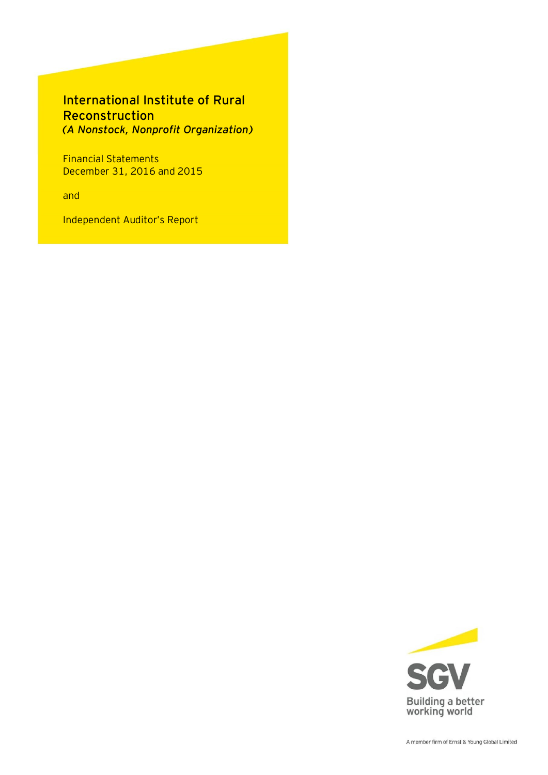# International Institute of Rural Reconstruction *(A Nonstock, Nonprofit Organization)*

Financial Statements December 31, 2016 and 2015

and

Independent Auditor's Report

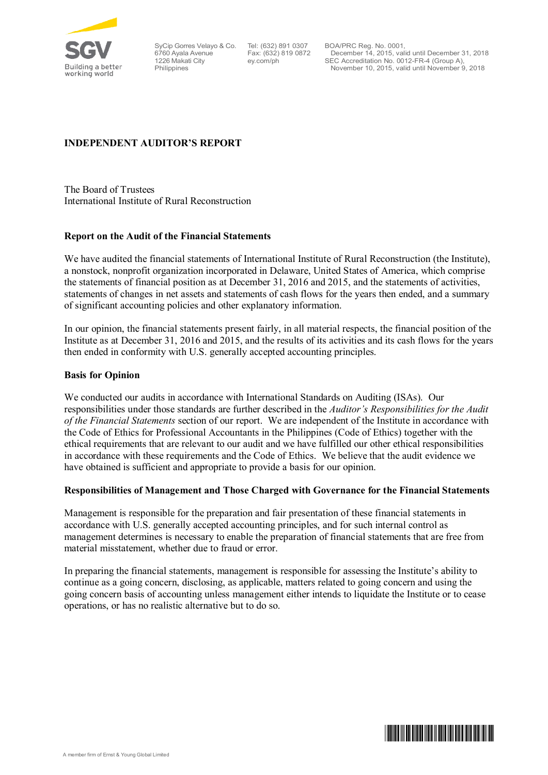

6760 Ayala Avenue 1226 Makati City Philippines

SyCip Gorres Velayo & Co. Tel: (632) 891 0307 Fax: (632) 819 0872 ey.com/ph

BOA/PRC Reg. No. 0001, December 14, 2015, valid until December 31, 2018 SEC Accreditation No. 0012-FR-4 (Group A), November 10, 2015, valid until November 9, 2018

## **INDEPENDENT AUDITOR'S REPORT**

The Board of Trustees International Institute of Rural Reconstruction

## **Report on the Audit of the Financial Statements**

We have audited the financial statements of International Institute of Rural Reconstruction (the Institute), a nonstock, nonprofit organization incorporated in Delaware, United States of America, which comprise the statements of financial position as at December 31, 2016 and 2015, and the statements of activities, statements of changes in net assets and statements of cash flows for the years then ended, and a summary of significant accounting policies and other explanatory information.

In our opinion, the financial statements present fairly, in all material respects, the financial position of the Institute as at December 31, 2016 and 2015, and the results of its activities and its cash flows for the years then ended in conformity with U.S. generally accepted accounting principles.

## **Basis for Opinion**

We conducted our audits in accordance with International Standards on Auditing (ISAs). Our responsibilities under those standards are further described in the *Auditor's Responsibilities for the Audit of the Financial Statements* section of our report. We are independent of the Institute in accordance with the Code of Ethics for Professional Accountants in the Philippines (Code of Ethics) together with the ethical requirements that are relevant to our audit and we have fulfilled our other ethical responsibilities in accordance with these requirements and the Code of Ethics. We believe that the audit evidence we have obtained is sufficient and appropriate to provide a basis for our opinion.

## **Responsibilities of Management and Those Charged with Governance for the Financial Statements**

Management is responsible for the preparation and fair presentation of these financial statements in accordance with U.S. generally accepted accounting principles, and for such internal control as management determines is necessary to enable the preparation of financial statements that are free from material misstatement, whether due to fraud or error.

In preparing the financial statements, management is responsible for assessing the Institute's ability to continue as a going concern, disclosing, as applicable, matters related to going concern and using the going concern basis of accounting unless management either intends to liquidate the Institute or to cease operations, or has no realistic alternative but to do so.

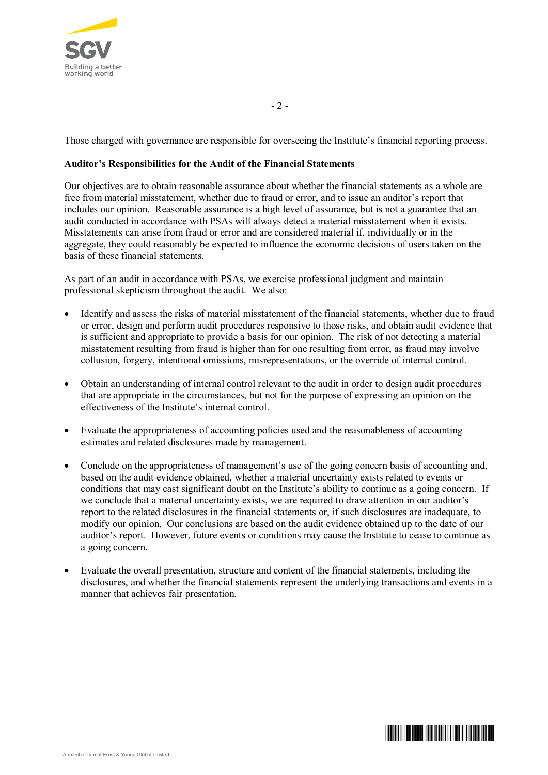

Those charged with governance are responsible for overseeing the Institute's financial reporting process.

 $-2-$ 

## **Auditor's Responsibilities for the Audit of the Financial Statements**

Our objectives are to obtain reasonable assurance about whether the financial statements as a whole are free from material misstatement, whether due to fraud or error, and to issue an auditor's report that includes our opinion. Reasonable assurance is a high level of assurance, but is not a guarantee that an audit conducted in accordance with PSAs will always detect a material misstatement when it exists. Misstatements can arise from fraud or error and are considered material if, individually or in the aggregate, they could reasonably be expected to influence the economic decisions of users taken on the basis of these financial statements.

As part of an audit in accordance with PSAs, we exercise professional judgment and maintain professional skepticism throughout the audit. We also:

- Identify and assess the risks of material misstatement of the financial statements, whether due to fraud or error, design and perform audit procedures responsive to those risks, and obtain audit evidence that is sufficient and appropriate to provide a basis for our opinion. The risk of not detecting a material misstatement resulting from fraud is higher than for one resulting from error, as fraud may involve collusion, forgery, intentional omissions, misrepresentations, or the override of internal control.
- ∂ Obtain an understanding of internal control relevant to the audit in order to design audit procedures that are appropriate in the circumstances, but not for the purpose of expressing an opinion on the effectiveness of the Institute's internal control.
- ∂ Evaluate the appropriateness of accounting policies used and the reasonableness of accounting estimates and related disclosures made by management.
- ∂ Conclude on the appropriateness of management's use of the going concern basis of accounting and, based on the audit evidence obtained, whether a material uncertainty exists related to events or conditions that may cast significant doubt on the Institute's ability to continue as a going concern. If we conclude that a material uncertainty exists, we are required to draw attention in our auditor's report to the related disclosures in the financial statements or, if such disclosures are inadequate, to modify our opinion. Our conclusions are based on the audit evidence obtained up to the date of our auditor's report. However, future events or conditions may cause the Institute to cease to continue as a going concern.
- ∂ Evaluate the overall presentation, structure and content of the financial statements, including the disclosures, and whether the financial statements represent the underlying transactions and events in a manner that achieves fair presentation.

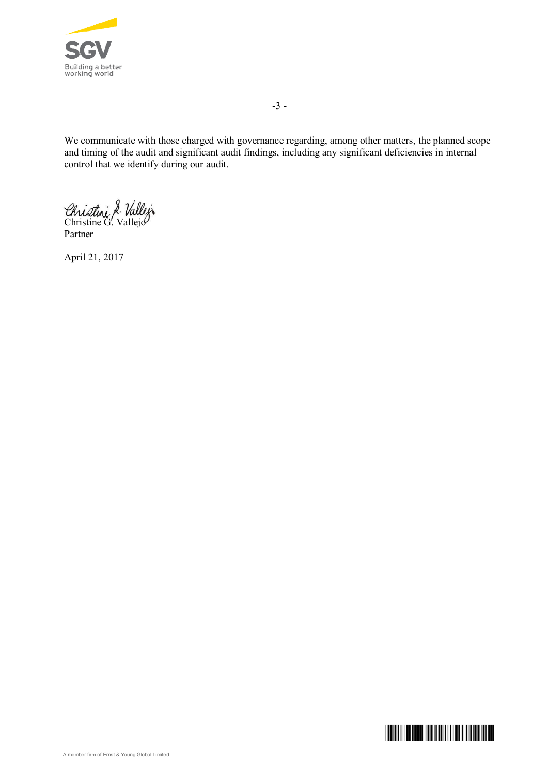

-3 -

We communicate with those charged with governance regarding, among other matters, the planned scope and timing of the audit and significant audit findings, including any significant deficiencies in internal control that we identify during our audit.

Christini & Vallej

Partner

April 21, 2017

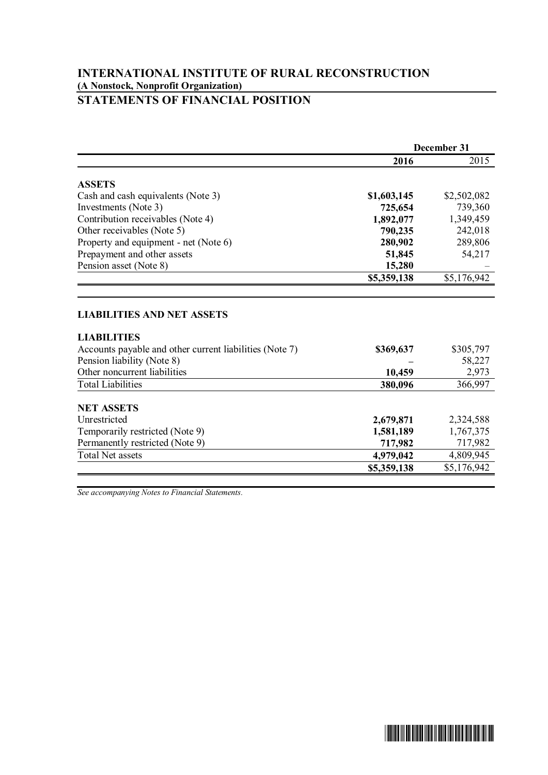## **STATEMENTS OF FINANCIAL POSITION**

|                                                         | December 31 |             |  |
|---------------------------------------------------------|-------------|-------------|--|
|                                                         | 2016        | 2015        |  |
| <b>ASSETS</b>                                           |             |             |  |
| Cash and cash equivalents (Note 3)                      | \$1,603,145 | \$2,502,082 |  |
| Investments (Note 3)                                    | 725,654     | 739,360     |  |
| Contribution receivables (Note 4)                       | 1,892,077   | 1,349,459   |  |
| Other receivables (Note 5)                              | 790,235     | 242,018     |  |
| Property and equipment - net (Note 6)                   | 280,902     | 289,806     |  |
| Prepayment and other assets                             | 51,845      | 54,217      |  |
| Pension asset (Note 8)                                  | 15,280      |             |  |
|                                                         | \$5,359,138 | \$5,176,942 |  |
|                                                         |             |             |  |
| <b>LIABILITIES AND NET ASSETS</b><br><b>LIABILITIES</b> |             |             |  |
| Accounts payable and other current liabilities (Note 7) | \$369,637   | \$305,797   |  |
| Pension liability (Note 8)                              |             | 58,227      |  |
| Other noncurrent liabilities                            | 10,459      | 2,973       |  |
| <b>Total Liabilities</b>                                | 380,096     | 366,997     |  |
| <b>NET ASSETS</b>                                       |             |             |  |
| Unrestricted                                            | 2,679,871   | 2,324,588   |  |
| Temporarily restricted (Note 9)                         | 1,581,189   | 1,767,375   |  |
| Permanently restricted (Note 9)                         | 717,982     | 717,982     |  |
| <b>Total Net assets</b>                                 | 4,979,042   | 4,809,945   |  |
|                                                         | \$5,359,138 | \$5,176,942 |  |
|                                                         |             |             |  |

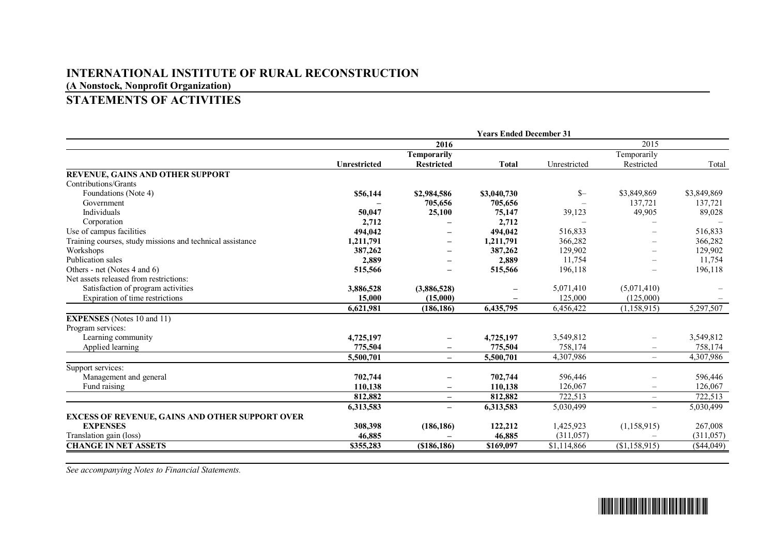# **STATEMENTS OF ACTIVITIES**

|                                                           | <b>Years Ended December 31</b> |                          |              |              |                          |             |
|-----------------------------------------------------------|--------------------------------|--------------------------|--------------|--------------|--------------------------|-------------|
|                                                           |                                | 2016                     |              |              | 2015                     |             |
|                                                           |                                | <b>Temporarily</b>       |              |              | Temporarily              |             |
|                                                           | <b>Unrestricted</b>            | <b>Restricted</b>        | <b>Total</b> | Unrestricted | Restricted               | Total       |
| <b>REVENUE, GAINS AND OTHER SUPPORT</b>                   |                                |                          |              |              |                          |             |
| Contributions/Grants                                      |                                |                          |              |              |                          |             |
| Foundations (Note 4)                                      | \$56,144                       | \$2,984,586              | \$3,040,730  | $S-$         | \$3,849,869              | \$3,849,869 |
| Government                                                |                                | 705,656                  | 705,656      |              | 137,721                  | 137,721     |
| Individuals                                               | 50,047                         | 25,100                   | 75,147       | 39,123       | 49,905                   | 89,028      |
| Corporation                                               | 2,712                          |                          | 2,712        |              |                          |             |
| Use of campus facilities                                  | 494,042                        | $\overline{\phantom{m}}$ | 494,042      | 516,833      |                          | 516,833     |
| Training courses, study missions and technical assistance | 1,211,791                      | $\qquad \qquad -$        | 1,211,791    | 366,282      | $\overline{\phantom{0}}$ | 366,282     |
| Workshops                                                 | 387,262                        | $\overline{\phantom{m}}$ | 387,262      | 129,902      |                          | 129,902     |
| Publication sales                                         | 2,889                          |                          | 2,889        | 11,754       |                          | 11,754      |
| Others - net (Notes 4 and 6)                              | 515,566                        | $\overline{\phantom{m}}$ | 515,566      | 196,118      | $\overline{\phantom{0}}$ | 196,118     |
| Net assets released from restrictions:                    |                                |                          |              |              |                          |             |
| Satisfaction of program activities                        | 3,886,528                      | (3,886,528)              |              | 5,071,410    | (5,071,410)              |             |
| Expiration of time restrictions                           | 15.000                         | (15,000)                 |              | 125,000      | (125,000)                |             |
|                                                           | 6,621,981                      | (186, 186)               | 6,435,795    | 6,456,422    | (1, 158, 915)            | 5,297,507   |
| <b>EXPENSES</b> (Notes 10 and 11)                         |                                |                          |              |              |                          |             |
| Program services:                                         |                                |                          |              |              |                          |             |
| Learning community                                        | 4,725,197                      | $\overline{\phantom{m}}$ | 4,725,197    | 3,549,812    |                          | 3,549,812   |
| Applied learning                                          | 775,504                        | $\qquad \qquad -$        | 775,504      | 758,174      | $\qquad \qquad -$        | 758,174     |
|                                                           | 5,500,701                      |                          | 5,500,701    | 4,307,986    | $\overline{\phantom{0}}$ | 4,307,986   |
| Support services:                                         |                                |                          |              |              |                          |             |
| Management and general                                    | 702,744                        | $\qquad \qquad -$        | 702,744      | 596,446      | -                        | 596,446     |
| Fund raising                                              | 110,138                        | $\qquad \qquad -$        | 110,138      | 126,067      | $\overline{\phantom{0}}$ | 126,067     |
|                                                           | 812,882                        | $\overline{\phantom{0}}$ | 812,882      | 722,513      | $\overline{\phantom{0}}$ | 722,513     |
|                                                           | 6,313,583                      |                          | 6,313,583    | 5,030,499    | $\overline{\phantom{0}}$ | 5,030,499   |
| <b>EXCESS OF REVENUE, GAINS AND OTHER SUPPORT OVER</b>    |                                |                          |              |              |                          |             |
| <b>EXPENSES</b>                                           | 308,398                        | (186, 186)               | 122,212      | 1,425,923    | (1,158,915)              | 267,008     |
| Translation gain (loss)                                   | 46,885                         |                          | 46,885       | (311, 057)   |                          | (311, 057)  |
| <b>CHANGE IN NET ASSETS</b>                               | \$355,283                      | (\$186, 186)             | \$169,097    | \$1,114,866  | (\$1,158,915)            | (\$44,049)  |

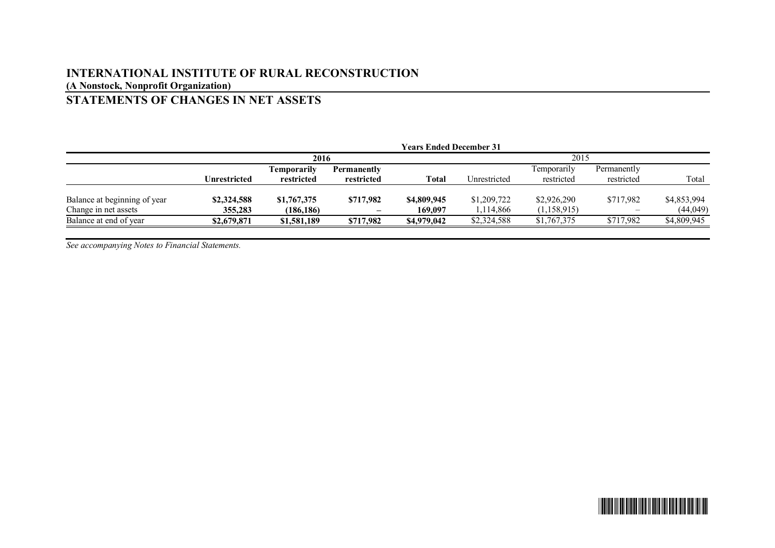# **STATEMENTS OF CHANGES IN NET ASSETS**

|                              |              |             |                              | <b>Years Ended December 31</b> |              |             |                          |             |
|------------------------------|--------------|-------------|------------------------------|--------------------------------|--------------|-------------|--------------------------|-------------|
|                              |              | 2016        |                              |                                |              | 2015        |                          |             |
|                              |              | Temporarilv | Permanently                  |                                |              | Temporarily | Permanently              |             |
|                              | Unrestricted | restricted  | restricted                   | Total                          | Unrestricted | restricted  | restricted               | Total       |
| Balance at beginning of year | \$2,324,588  | \$1,767,375 | \$717,982                    | \$4,809,945                    | \$1,209,722  | \$2,926,290 | \$717,982                | \$4,853,994 |
| Change in net assets         | 355,283      | (186, 186)  | $\qquad \qquad \blacksquare$ | 169,097                        | 1,114,866    | (1,158,915) | $\overline{\phantom{0}}$ | (44, 049)   |
| Balance at end of year       | \$2,679,871  | \$1,581,189 | \$717,982                    | \$4,979,042                    | \$2,324,588  | \$1,767,375 | \$717,982                | \$4,809,945 |

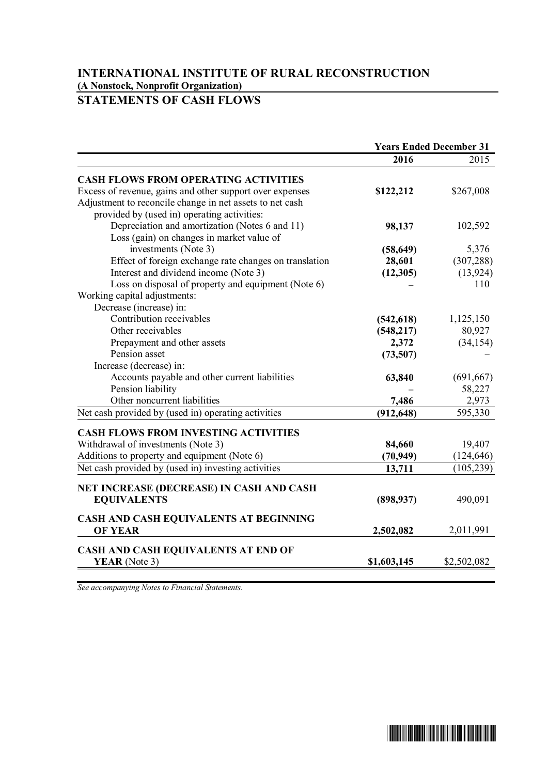## **STATEMENTS OF CASH FLOWS**

|                                                          | <b>Years Ended December 31</b> |             |
|----------------------------------------------------------|--------------------------------|-------------|
|                                                          | 2016                           | 2015        |
| <b>CASH FLOWS FROM OPERATING ACTIVITIES</b>              |                                |             |
| Excess of revenue, gains and other support over expenses | \$122,212                      | \$267,008   |
| Adjustment to reconcile change in net assets to net cash |                                |             |
| provided by (used in) operating activities:              |                                |             |
| Depreciation and amortization (Notes 6 and 11)           | 98,137                         | 102,592     |
| Loss (gain) on changes in market value of                |                                |             |
| investments (Note 3)                                     | (58, 649)                      | 5,376       |
| Effect of foreign exchange rate changes on translation   | 28,601                         | (307, 288)  |
| Interest and dividend income (Note 3)                    | (12,305)                       | (13, 924)   |
| Loss on disposal of property and equipment (Note 6)      |                                | 110         |
| Working capital adjustments:                             |                                |             |
| Decrease (increase) in:                                  |                                |             |
| Contribution receivables                                 | (542, 618)                     | 1,125,150   |
| Other receivables                                        | (548, 217)                     | 80,927      |
| Prepayment and other assets                              | 2,372                          | (34, 154)   |
| Pension asset                                            | (73,507)                       |             |
| Increase (decrease) in:                                  |                                |             |
| Accounts payable and other current liabilities           | 63,840                         | (691, 667)  |
| Pension liability                                        |                                | 58,227      |
| Other noncurrent liabilities                             | 7,486                          | 2,973       |
| Net cash provided by (used in) operating activities      | (912, 648)                     | 595,330     |
| <b>CASH FLOWS FROM INVESTING ACTIVITIES</b>              |                                |             |
| Withdrawal of investments (Note 3)                       | 84,660                         | 19,407      |
| Additions to property and equipment (Note 6)             | (70, 949)                      | (124, 646)  |
| Net cash provided by (used in) investing activities      | 13,711                         | (105, 239)  |
|                                                          |                                |             |
| NET INCREASE (DECREASE) IN CASH AND CASH                 |                                |             |
| <b>EQUIVALENTS</b>                                       | (898, 937)                     | 490,091     |
| CASH AND CASH EQUIVALENTS AT BEGINNING                   |                                |             |
| <b>OF YEAR</b>                                           | 2,502,082                      | 2,011,991   |
| <b>CASH AND CASH EQUIVALENTS AT END OF</b>               |                                |             |
| YEAR (Note 3)                                            | \$1,603,145                    | \$2,502,082 |
|                                                          |                                |             |

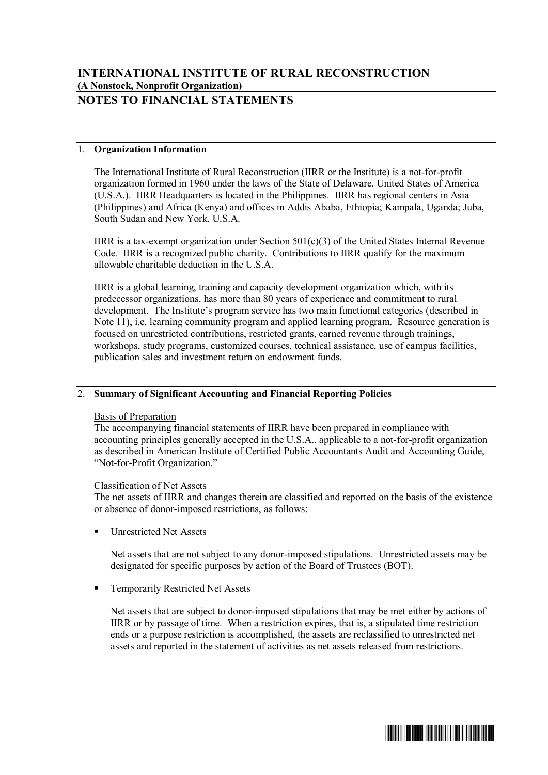# **NOTES TO FINANCIAL STATEMENTS**

## 1. **Organization Information**

The International Institute of Rural Reconstruction (IIRR or the Institute) is a not-for-profit organization formed in 1960 under the laws of the State of Delaware, United States of America (U.S.A.). IIRR Headquarters is located in the Philippines. IIRR has regional centers in Asia (Philippines) and Africa (Kenya) and offices in Addis Ababa, Ethiopia; Kampala, Uganda; Juba, South Sudan and New York, U.S.A.

IIRR is a tax-exempt organization under Section  $501(c)(3)$  of the United States Internal Revenue Code. IIRR is a recognized public charity. Contributions to IIRR qualify for the maximum allowable charitable deduction in the U.S.A.

IIRR is a global learning, training and capacity development organization which, with its predecessor organizations, has more than 80 years of experience and commitment to rural development. The Institute's program service has two main functional categories (described in Note 11), i.e. learning community program and applied learning program. Resource generation is focused on unrestricted contributions, restricted grants, earned revenue through trainings, workshops, study programs, customized courses, technical assistance, use of campus facilities, publication sales and investment return on endowment funds.

## 2. **Summary of Significant Accounting and Financial Reporting Policies**

## Basis of Preparation

The accompanying financial statements of IIRR have been prepared in compliance with accounting principles generally accepted in the U.S.A., applicable to a not-for-profit organization as described in American Institute of Certified Public Accountants Audit and Accounting Guide, "Not-for-Profit Organization."

## Classification of Net Assets

The net assets of IIRR and changes therein are classified and reported on the basis of the existence or absence of donor-imposed restrictions, as follows:

ƒ Unrestricted Net Assets

Net assets that are not subject to any donor-imposed stipulations. Unrestricted assets may be designated for specific purposes by action of the Board of Trustees (BOT).

ƒ Temporarily Restricted Net Assets

Net assets that are subject to donor-imposed stipulations that may be met either by actions of IIRR or by passage of time. When a restriction expires, that is, a stipulated time restriction ends or a purpose restriction is accomplished, the assets are reclassified to unrestricted net assets and reported in the statement of activities as net assets released from restrictions.

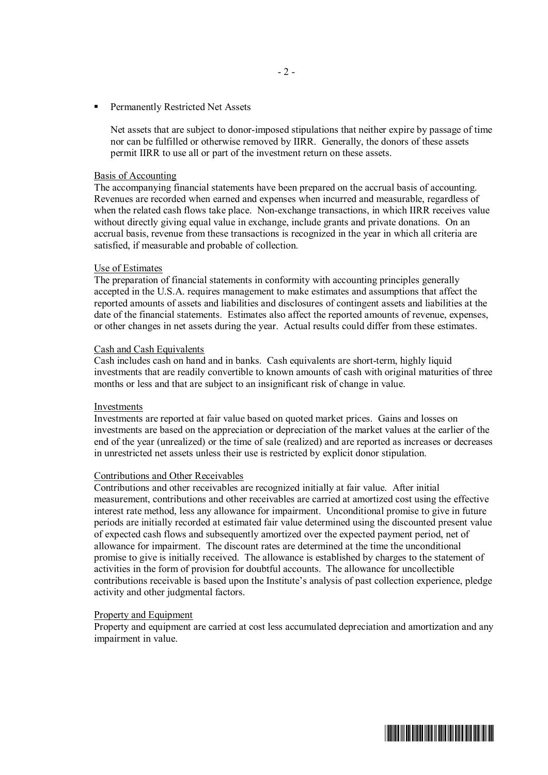Permanently Restricted Net Assets

Net assets that are subject to donor-imposed stipulations that neither expire by passage of time nor can be fulfilled or otherwise removed by IIRR. Generally, the donors of these assets permit IIRR to use all or part of the investment return on these assets.

#### Basis of Accounting

The accompanying financial statements have been prepared on the accrual basis of accounting. Revenues are recorded when earned and expenses when incurred and measurable, regardless of when the related cash flows take place. Non-exchange transactions, in which IIRR receives value without directly giving equal value in exchange, include grants and private donations. On an accrual basis, revenue from these transactions is recognized in the year in which all criteria are satisfied, if measurable and probable of collection.

#### Use of Estimates

The preparation of financial statements in conformity with accounting principles generally accepted in the U.S.A. requires management to make estimates and assumptions that affect the reported amounts of assets and liabilities and disclosures of contingent assets and liabilities at the date of the financial statements. Estimates also affect the reported amounts of revenue, expenses, or other changes in net assets during the year. Actual results could differ from these estimates.

#### Cash and Cash Equivalents

Cash includes cash on hand and in banks. Cash equivalents are short-term, highly liquid investments that are readily convertible to known amounts of cash with original maturities of three months or less and that are subject to an insignificant risk of change in value.

### Investments

Investments are reported at fair value based on quoted market prices. Gains and losses on investments are based on the appreciation or depreciation of the market values at the earlier of the end of the year (unrealized) or the time of sale (realized) and are reported as increases or decreases in unrestricted net assets unless their use is restricted by explicit donor stipulation.

### Contributions and Other Receivables

Contributions and other receivables are recognized initially at fair value. After initial measurement, contributions and other receivables are carried at amortized cost using the effective interest rate method, less any allowance for impairment. Unconditional promise to give in future periods are initially recorded at estimated fair value determined using the discounted present value of expected cash flows and subsequently amortized over the expected payment period, net of allowance for impairment. The discount rates are determined at the time the unconditional promise to give is initially received. The allowance is established by charges to the statement of activities in the form of provision for doubtful accounts. The allowance for uncollectible contributions receivable is based upon the Institute's analysis of past collection experience, pledge activity and other judgmental factors.

#### Property and Equipment

Property and equipment are carried at cost less accumulated depreciation and amortization and any impairment in value.

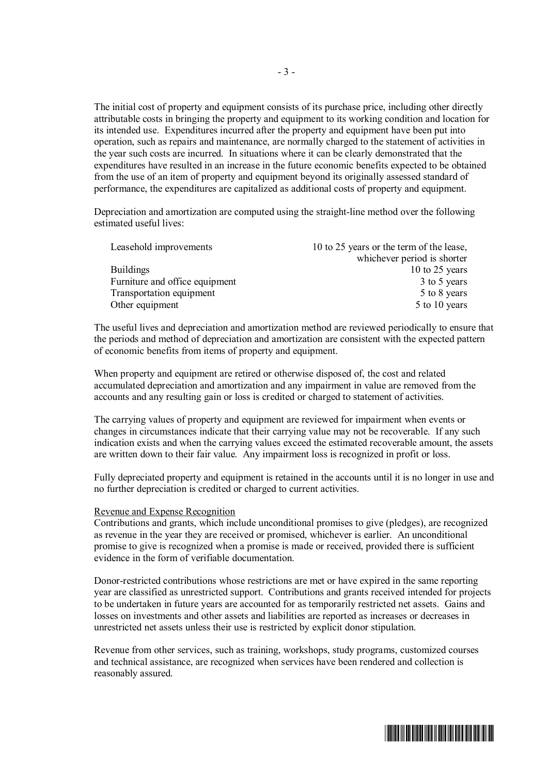The initial cost of property and equipment consists of its purchase price, including other directly attributable costs in bringing the property and equipment to its working condition and location for its intended use. Expenditures incurred after the property and equipment have been put into operation, such as repairs and maintenance, are normally charged to the statement of activities in the year such costs are incurred. In situations where it can be clearly demonstrated that the expenditures have resulted in an increase in the future economic benefits expected to be obtained from the use of an item of property and equipment beyond its originally assessed standard of performance, the expenditures are capitalized as additional costs of property and equipment.

Depreciation and amortization are computed using the straight-line method over the following estimated useful lives:

| Leasehold improvements         | 10 to 25 years or the term of the lease, |
|--------------------------------|------------------------------------------|
|                                | whichever period is shorter              |
| <b>Buildings</b>               | 10 to 25 years                           |
| Furniture and office equipment | 3 to 5 years                             |
| Transportation equipment       | 5 to 8 years                             |
| Other equipment                | 5 to 10 years                            |

The useful lives and depreciation and amortization method are reviewed periodically to ensure that the periods and method of depreciation and amortization are consistent with the expected pattern of economic benefits from items of property and equipment.

When property and equipment are retired or otherwise disposed of, the cost and related accumulated depreciation and amortization and any impairment in value are removed from the accounts and any resulting gain or loss is credited or charged to statement of activities.

The carrying values of property and equipment are reviewed for impairment when events or changes in circumstances indicate that their carrying value may not be recoverable. If any such indication exists and when the carrying values exceed the estimated recoverable amount, the assets are written down to their fair value. Any impairment loss is recognized in profit or loss.

Fully depreciated property and equipment is retained in the accounts until it is no longer in use and no further depreciation is credited or charged to current activities.

#### Revenue and Expense Recognition

Contributions and grants, which include unconditional promises to give (pledges), are recognized as revenue in the year they are received or promised, whichever is earlier. An unconditional promise to give is recognized when a promise is made or received, provided there is sufficient evidence in the form of verifiable documentation.

Donor-restricted contributions whose restrictions are met or have expired in the same reporting year are classified as unrestricted support. Contributions and grants received intended for projects to be undertaken in future years are accounted for as temporarily restricted net assets. Gains and losses on investments and other assets and liabilities are reported as increases or decreases in unrestricted net assets unless their use is restricted by explicit donor stipulation.

Revenue from other services, such as training, workshops, study programs, customized courses and technical assistance, are recognized when services have been rendered and collection is reasonably assured.

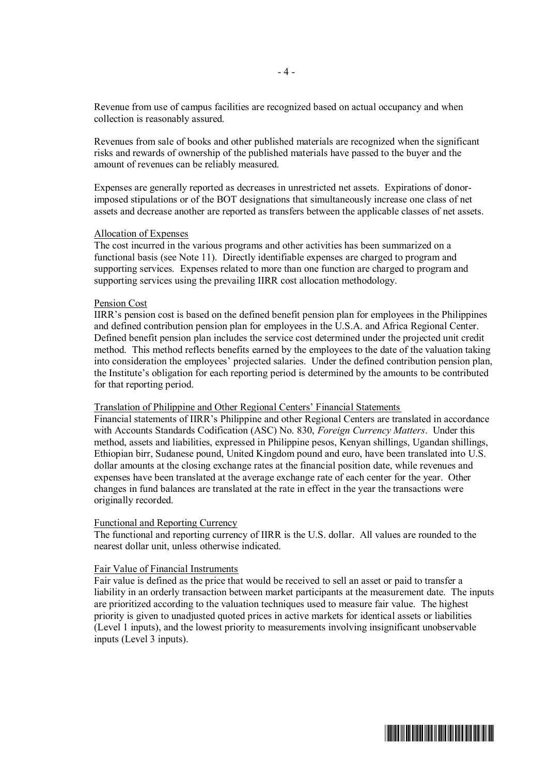Revenue from use of campus facilities are recognized based on actual occupancy and when collection is reasonably assured.

Revenues from sale of books and other published materials are recognized when the significant risks and rewards of ownership of the published materials have passed to the buyer and the amount of revenues can be reliably measured.

Expenses are generally reported as decreases in unrestricted net assets. Expirations of donorimposed stipulations or of the BOT designations that simultaneously increase one class of net assets and decrease another are reported as transfers between the applicable classes of net assets.

#### Allocation of Expenses

The cost incurred in the various programs and other activities has been summarized on a functional basis (see Note 11). Directly identifiable expenses are charged to program and supporting services. Expenses related to more than one function are charged to program and supporting services using the prevailing IIRR cost allocation methodology.

#### Pension Cost

IIRR's pension cost is based on the defined benefit pension plan for employees in the Philippines and defined contribution pension plan for employees in the U.S.A. and Africa Regional Center. Defined benefit pension plan includes the service cost determined under the projected unit credit method. This method reflects benefits earned by the employees to the date of the valuation taking into consideration the employees' projected salaries. Under the defined contribution pension plan, the Institute's obligation for each reporting period is determined by the amounts to be contributed for that reporting period.

## Translation of Philippine and Other Regional Centers' Financial Statements

Financial statements of IIRR's Philippine and other Regional Centers are translated in accordance with Accounts Standards Codification (ASC) No. 830, *Foreign Currency Matters*. Under this method, assets and liabilities, expressed in Philippine pesos, Kenyan shillings, Ugandan shillings, Ethiopian birr, Sudanese pound, United Kingdom pound and euro, have been translated into U.S. dollar amounts at the closing exchange rates at the financial position date, while revenues and expenses have been translated at the average exchange rate of each center for the year. Other changes in fund balances are translated at the rate in effect in the year the transactions were originally recorded.

#### Functional and Reporting Currency

The functional and reporting currency of IIRR is the U.S. dollar. All values are rounded to the nearest dollar unit, unless otherwise indicated.

### Fair Value of Financial Instruments

Fair value is defined as the price that would be received to sell an asset or paid to transfer a liability in an orderly transaction between market participants at the measurement date. The inputs are prioritized according to the valuation techniques used to measure fair value. The highest priority is given to unadjusted quoted prices in active markets for identical assets or liabilities (Level 1 inputs), and the lowest priority to measurements involving insignificant unobservable inputs (Level 3 inputs).

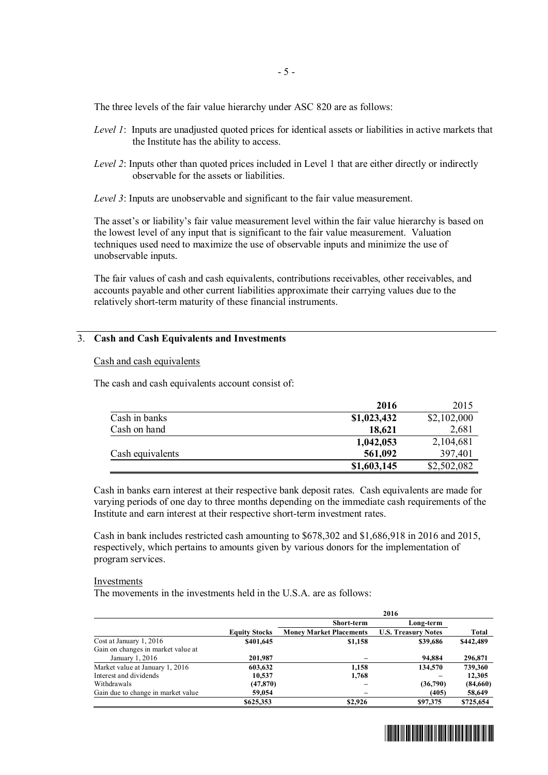The three levels of the fair value hierarchy under ASC 820 are as follows:

- *Level 1*: Inputs are unadjusted quoted prices for identical assets or liabilities in active markets that the Institute has the ability to access.
- *Level 2*: Inputs other than quoted prices included in Level 1 that are either directly or indirectly observable for the assets or liabilities.

*Level 3*: Inputs are unobservable and significant to the fair value measurement.

The asset's or liability's fair value measurement level within the fair value hierarchy is based on the lowest level of any input that is significant to the fair value measurement. Valuation techniques used need to maximize the use of observable inputs and minimize the use of unobservable inputs.

The fair values of cash and cash equivalents, contributions receivables, other receivables, and accounts payable and other current liabilities approximate their carrying values due to the relatively short-term maturity of these financial instruments.

### 3. **Cash and Cash Equivalents and Investments**

#### Cash and cash equivalents

The cash and cash equivalents account consist of:

|                  | 2016        | 2015        |
|------------------|-------------|-------------|
| Cash in banks    | \$1,023,432 | \$2,102,000 |
| Cash on hand     | 18,621      | 2,681       |
|                  | 1,042,053   | 2,104,681   |
| Cash equivalents | 561,092     | 397,401     |
|                  | \$1,603,145 | \$2,502,082 |

Cash in banks earn interest at their respective bank deposit rates. Cash equivalents are made for varying periods of one day to three months depending on the immediate cash requirements of the Institute and earn interest at their respective short-term investment rates.

Cash in bank includes restricted cash amounting to \$678,302 and \$1,686,918 in 2016 and 2015, respectively, which pertains to amounts given by various donors for the implementation of program services.

#### Investments

The movements in the investments held in the U.S.A. are as follows:

|                                    |                      | 2016                           |                            |           |  |  |
|------------------------------------|----------------------|--------------------------------|----------------------------|-----------|--|--|
|                                    |                      | Short-term                     | Long-term                  |           |  |  |
|                                    | <b>Equity Stocks</b> | <b>Money Market Placements</b> | <b>U.S. Treasury Notes</b> | Total     |  |  |
| Cost at January 1, 2016            | \$401,645            | \$1,158                        | \$39,686                   | \$442,489 |  |  |
| Gain on changes in market value at |                      |                                |                            |           |  |  |
| January 1, 2016                    | 201,987              |                                | 94.884                     | 296,871   |  |  |
| Market value at January 1, 2016    | 603,632              | 1,158                          | 134,570                    | 739,360   |  |  |
| Interest and dividends             | 10,537               | 1,768                          |                            | 12,305    |  |  |
| Withdrawals                        | (47, 870)            |                                | (36,790)                   | (84,660)  |  |  |
| Gain due to change in market value | 59,054               |                                | (405)                      | 58,649    |  |  |
|                                    | \$625,353            | \$2,926                        | \$97,375                   | \$725,654 |  |  |

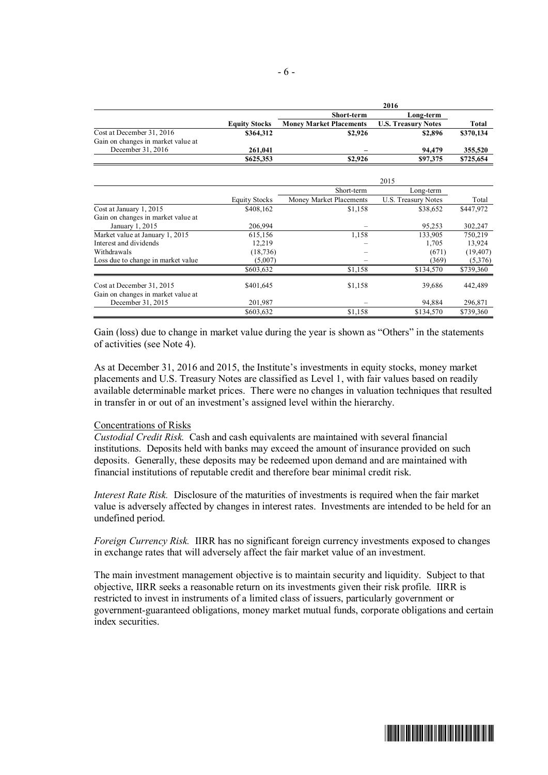|                                    |                      | 2016                           |                            |           |  |  |
|------------------------------------|----------------------|--------------------------------|----------------------------|-----------|--|--|
|                                    |                      | <b>Short-term</b>              | Long-term                  |           |  |  |
|                                    | <b>Equity Stocks</b> | <b>Money Market Placements</b> | <b>U.S. Treasury Notes</b> | Total     |  |  |
| Cost at December 31, 2016          | \$364,312            | \$2,926                        | \$2,896                    | \$370.134 |  |  |
| Gain on changes in market value at |                      |                                |                            |           |  |  |
| December 31, 2016                  | 261,041              | -                              | 94,479                     | 355,520   |  |  |
|                                    | \$625,353            | \$2,926                        | \$97,375                   | \$725,654 |  |  |

|                                    |                      | 2015                    |                     |           |  |  |
|------------------------------------|----------------------|-------------------------|---------------------|-----------|--|--|
|                                    |                      | Short-term              | Long-term           |           |  |  |
|                                    | <b>Equity Stocks</b> | Money Market Placements | U.S. Treasury Notes | Total     |  |  |
| Cost at January 1, 2015            | \$408.162            | \$1,158                 | \$38,652            | \$447,972 |  |  |
| Gain on changes in market value at |                      |                         |                     |           |  |  |
| January 1, 2015                    | 206,994              |                         | 95,253              | 302,247   |  |  |
| Market value at January 1, 2015    | 615,156              | 1,158                   | 133,905             | 750.219   |  |  |
| Interest and dividends             | 12.219               |                         | 1,705               | 13,924    |  |  |
| Withdrawals                        | (18, 736)            |                         | (671)               | (19, 407) |  |  |
| Loss due to change in market value | (5,007)              |                         | (369)               | (5,376)   |  |  |
|                                    | \$603,632            | \$1,158                 | \$134,570           | \$739,360 |  |  |
| Cost at December 31, 2015          | \$401,645            | \$1,158                 | 39,686              | 442.489   |  |  |
| Gain on changes in market value at |                      |                         |                     |           |  |  |
| December 31, 2015                  | 201,987              |                         | 94,884              | 296,871   |  |  |
|                                    | \$603,632            | \$1,158                 | \$134,570           | \$739,360 |  |  |

Gain (loss) due to change in market value during the year is shown as "Others" in the statements of activities (see Note 4).

As at December 31, 2016 and 2015, the Institute's investments in equity stocks, money market placements and U.S. Treasury Notes are classified as Level 1, with fair values based on readily available determinable market prices. There were no changes in valuation techniques that resulted in transfer in or out of an investment's assigned level within the hierarchy.

#### Concentrations of Risks

*Custodial Credit Risk.* Cash and cash equivalents are maintained with several financial institutions. Deposits held with banks may exceed the amount of insurance provided on such deposits. Generally, these deposits may be redeemed upon demand and are maintained with financial institutions of reputable credit and therefore bear minimal credit risk.

*Interest Rate Risk.* Disclosure of the maturities of investments is required when the fair market value is adversely affected by changes in interest rates. Investments are intended to be held for an undefined period.

*Foreign Currency Risk.* IIRR has no significant foreign currency investments exposed to changes in exchange rates that will adversely affect the fair market value of an investment.

The main investment management objective is to maintain security and liquidity. Subject to that objective, IIRR seeks a reasonable return on its investments given their risk profile. IIRR is restricted to invest in instruments of a limited class of issuers, particularly government or government-guaranteed obligations, money market mutual funds, corporate obligations and certain index securities.

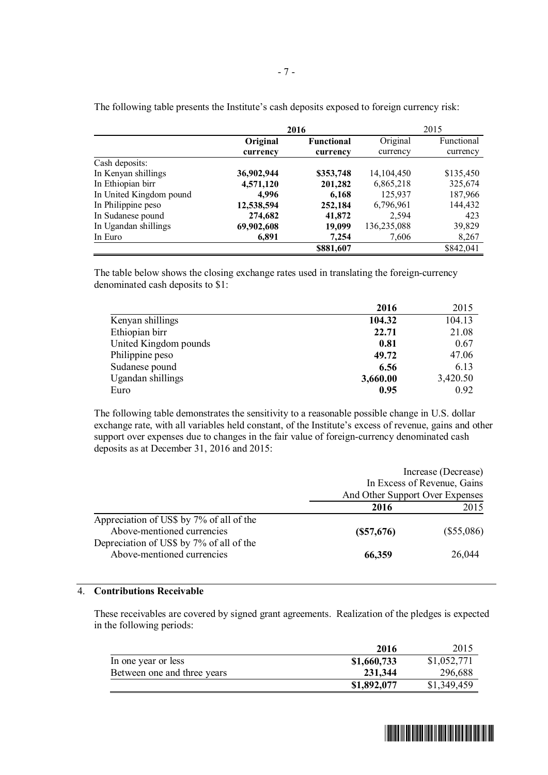|                         |            | 2016              |              | 2015       |
|-------------------------|------------|-------------------|--------------|------------|
|                         | Original   | <b>Functional</b> | Original     | Functional |
|                         | currency   | currency          | currency     | currency   |
| Cash deposits:          |            |                   |              |            |
| In Kenyan shillings     | 36,902,944 | \$353,748         | 14, 104, 450 | \$135,450  |
| In Ethiopian birr       | 4,571,120  | 201,282           | 6,865,218    | 325,674    |
| In United Kingdom pound | 4.996      | 6,168             | 125,937      | 187,966    |
| In Philippine peso      | 12,538,594 | 252,184           | 6,796,961    | 144,432    |
| In Sudanese pound       | 274,682    | 41,872            | 2,594        | 423        |
| In Ugandan shillings    | 69,902,608 | 19,099            | 136,235,088  | 39,829     |
| In Euro                 | 6,891      | 7,254             | 7,606        | 8,267      |
|                         |            | \$881,607         |              | \$842,041  |

The following table presents the Institute's cash deposits exposed to foreign currency risk:

The table below shows the closing exchange rates used in translating the foreign-currency denominated cash deposits to \$1:

|                       | 2016     | 2015     |
|-----------------------|----------|----------|
| Kenyan shillings      | 104.32   | 104.13   |
| Ethiopian birr        | 22.71    | 21.08    |
| United Kingdom pounds | 0.81     | 0.67     |
| Philippine peso       | 49.72    | 47.06    |
| Sudanese pound        | 6.56     | 6.13     |
| Ugandan shillings     | 3,660.00 | 3,420.50 |
| Euro                  | 0.95     | 0.92     |

The following table demonstrates the sensitivity to a reasonable possible change in U.S. dollar exchange rate, with all variables held constant, of the Institute's excess of revenue, gains and other support over expenses due to changes in the fair value of foreign-currency denominated cash deposits as at December 31, 2016 and 2015:

|                                                                        | Increase (Decrease)             |                             |  |
|------------------------------------------------------------------------|---------------------------------|-----------------------------|--|
|                                                                        |                                 | In Excess of Revenue, Gains |  |
|                                                                        | And Other Support Over Expenses |                             |  |
|                                                                        | 2016                            |                             |  |
| Appreciation of US\$ by 7% of all of the<br>Above-mentioned currencies | $(\$57,676)$                    | $(\$55,086)$                |  |
| Depreciation of US\$ by 7% of all of the                               |                                 |                             |  |
| Above-mentioned currencies                                             | 66,359                          | 26,044                      |  |

## 4. **Contributions Receivable**

These receivables are covered by signed grant agreements. Realization of the pledges is expected in the following periods:

|                             | 2016        | 2015        |
|-----------------------------|-------------|-------------|
| In one year or less         | \$1,660,733 | \$1,052,771 |
| Between one and three years | 231,344     | 296,688     |
|                             | \$1,892,077 | \$1,349,459 |

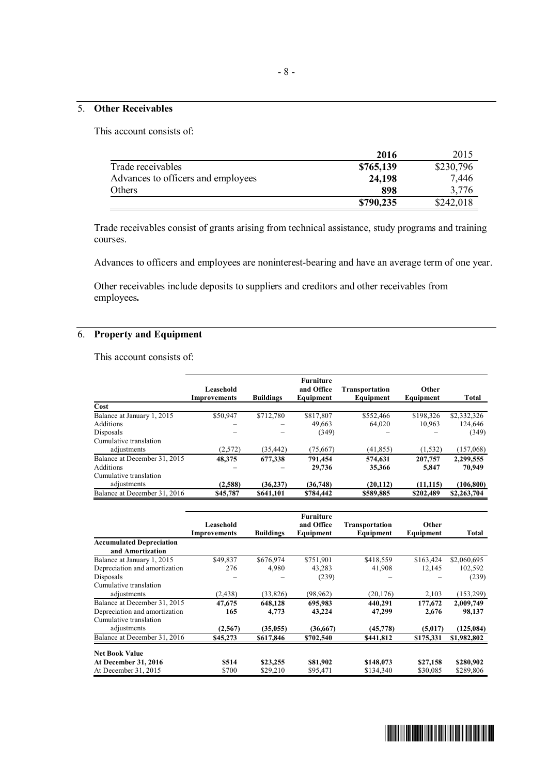## 5. **Other Receivables**

This account consists of:

|                                    | 2016      | 2015      |
|------------------------------------|-----------|-----------|
| Trade receivables                  | \$765,139 | \$230,796 |
| Advances to officers and employees | 24,198    | 7,446     |
| Others                             | 898       | 3,776     |
|                                    | \$790,235 | \$242,018 |

Trade receivables consist of grants arising from technical assistance, study programs and training courses.

Advances to officers and employees are noninterest-bearing and have an average term of one year.

Other receivables include deposits to suppliers and creditors and other receivables from employees*.*

## 6. **Property and Equipment**

This account consists of:

|                              | Leasehold<br>Improvements | <b>Buildings</b> | <b>Furniture</b><br>and Office<br>Equipment | <b>Transportation</b><br>Equipment | Other<br>Equipment | <b>Total</b> |
|------------------------------|---------------------------|------------------|---------------------------------------------|------------------------------------|--------------------|--------------|
| Cost                         |                           |                  |                                             |                                    |                    |              |
| Balance at January 1, 2015   | \$50,947                  | \$712,780        | \$817,807                                   | \$552,466                          | \$198,326          | \$2,332,326  |
| Additions                    |                           |                  | 49.663                                      | 64.020                             | 10.963             | 124.646      |
| Disposals                    |                           |                  | (349)                                       |                                    |                    | (349)        |
| Cumulative translation       |                           |                  |                                             |                                    |                    |              |
| adjustments                  | (2,572)                   | (35, 442)        | (75,667)                                    | (41, 855)                          | (1, 532)           | (157,068)    |
| Balance at December 31, 2015 | 48.375                    | 677.338          | 791.454                                     | 574,631                            | 207,757            | 2,299,555    |
| Additions                    |                           |                  | 29,736                                      | 35,366                             | 5.847              | 70.949       |
| Cumulative translation       |                           |                  |                                             |                                    |                    |              |
| adjustments                  | (2,588)                   | (36, 237)        | (36,748)                                    | (20, 112)                          | (11, 115)          | (106, 800)   |
| Balance at December 31, 2016 | \$45,787                  | \$641,101        | \$784,442                                   | \$589,885                          | \$202,489          | \$2,263,704  |

|                                 |                     |                  | <b>Furniture</b> |                |           |             |
|---------------------------------|---------------------|------------------|------------------|----------------|-----------|-------------|
|                                 | Leasehold           |                  | and Office       | Transportation | Other     |             |
|                                 | <b>Improvements</b> | <b>Buildings</b> | Equipment        | Equipment      | Equipment | Total       |
| <b>Accumulated Depreciation</b> |                     |                  |                  |                |           |             |
| and Amortization                |                     |                  |                  |                |           |             |
| Balance at January 1, 2015      | \$49,837            | \$676,974        | \$751,901        | \$418,559      | \$163,424 | \$2,060,695 |
| Depreciation and amortization   | 276                 | 4,980            | 43,283           | 41,908         | 12,145    | 102,592     |
| Disposals                       |                     |                  | (239)            |                |           | (239)       |
| Cumulative translation          |                     |                  |                  |                |           |             |
| adjustments                     | (2, 438)            | (33,826)         | (98, 962)        | (20, 176)      | 2,103     | (153, 299)  |
| Balance at December 31, 2015    | 47,675              | 648.128          | 695.983          | 440.291        | 177,672   | 2,009,749   |
| Depreciation and amortization   | 165                 | 4,773            | 43,224           | 47,299         | 2,676     | 98,137      |
| Cumulative translation          |                     |                  |                  |                |           |             |
| adjustments                     | (2,567)             | (35,055)         | (36,667)         | (45, 778)      | (5,017)   | (125, 084)  |
| Balance at December 31, 2016    | \$45,273            | \$617,846        | \$702,540        | \$441,812      | \$175.331 | \$1,982,802 |
| <b>Net Book Value</b>           |                     |                  |                  |                |           |             |
| <b>At December 31, 2016</b>     | \$514               | \$23,255         | \$81,902         | \$148,073      | \$27,158  | \$280,902   |
| At December 31, 2015            | \$700               | \$29,210         | \$95,471         | \$134,340      | \$30,085  | \$289,806   |

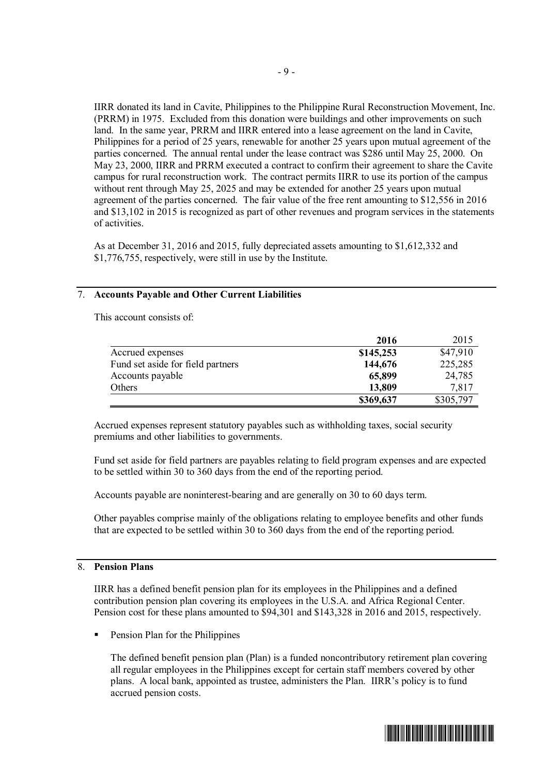IIRR donated its land in Cavite, Philippines to the Philippine Rural Reconstruction Movement, Inc. (PRRM) in 1975. Excluded from this donation were buildings and other improvements on such land. In the same year, PRRM and IIRR entered into a lease agreement on the land in Cavite, Philippines for a period of 25 years, renewable for another 25 years upon mutual agreement of the parties concerned. The annual rental under the lease contract was \$286 until May 25, 2000. On May 23, 2000, IIRR and PRRM executed a contract to confirm their agreement to share the Cavite campus for rural reconstruction work. The contract permits IIRR to use its portion of the campus without rent through May 25, 2025 and may be extended for another 25 years upon mutual agreement of the parties concerned. The fair value of the free rent amounting to \$12,556 in 2016 and \$13,102 in 2015 is recognized as part of other revenues and program services in the statements of activities.

As at December 31, 2016 and 2015, fully depreciated assets amounting to \$1,612,332 and \$1,776,755, respectively, were still in use by the Institute.

### 7. **Accounts Payable and Other Current Liabilities**

This account consists of:

|                                   | 2016      | 2015      |
|-----------------------------------|-----------|-----------|
| Accrued expenses                  | \$145,253 | \$47,910  |
| Fund set aside for field partners | 144,676   | 225,285   |
| Accounts payable                  | 65,899    | 24,785    |
| Others                            | 13,809    | 7.817     |
|                                   | \$369,637 | \$305,797 |

Accrued expenses represent statutory payables such as withholding taxes, social security premiums and other liabilities to governments.

Fund set aside for field partners are payables relating to field program expenses and are expected to be settled within 30 to 360 days from the end of the reporting period.

Accounts payable are noninterest-bearing and are generally on 30 to 60 days term.

Other payables comprise mainly of the obligations relating to employee benefits and other funds that are expected to be settled within 30 to 360 days from the end of the reporting period.

### 8. **Pension Plans**

IIRR has a defined benefit pension plan for its employees in the Philippines and a defined contribution pension plan covering its employees in the U.S.A. and Africa Regional Center. Pension cost for these plans amounted to \$94,301 and \$143,328 in 2016 and 2015, respectively.

Pension Plan for the Philippines

The defined benefit pension plan (Plan) is a funded noncontributory retirement plan covering all regular employees in the Philippines except for certain staff members covered by other plans. A local bank, appointed as trustee, administers the Plan. IIRR's policy is to fund accrued pension costs.

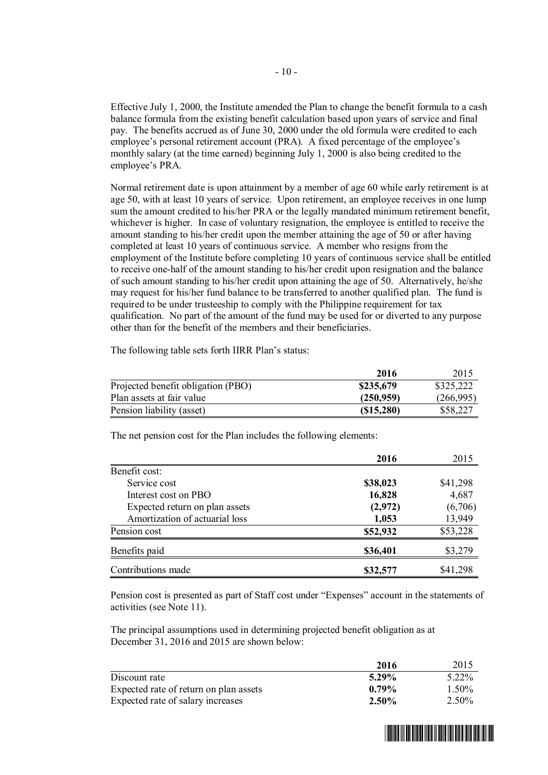Effective July 1, 2000, the Institute amended the Plan to change the benefit formula to a cash balance formula from the existing benefit calculation based upon years of service and final pay. The benefits accrued as of June 30, 2000 under the old formula were credited to each employee's personal retirement account (PRA). A fixed percentage of the employee's monthly salary (at the time earned) beginning July 1, 2000 is also being credited to the employee's PRA.

Normal retirement date is upon attainment by a member of age 60 while early retirement is at age 50, with at least 10 years of service. Upon retirement, an employee receives in one lump sum the amount credited to his/her PRA or the legally mandated minimum retirement benefit, whichever is higher. In case of voluntary resignation, the employee is entitled to receive the amount standing to his/her credit upon the member attaining the age of 50 or after having completed at least 10 years of continuous service. A member who resigns from the employment of the Institute before completing 10 years of continuous service shall be entitled to receive one-half of the amount standing to his/her credit upon resignation and the balance of such amount standing to his/her credit upon attaining the age of 50. Alternatively, he/she may request for his/her fund balance to be transferred to another qualified plan. The fund is required to be under trusteeship to comply with the Philippine requirement for tax qualification. No part of the amount of the fund may be used for or diverted to any purpose other than for the benefit of the members and their beneficiaries.

The following table sets forth IIRR Plan's status:

|                                    | 2016      | 2015      |
|------------------------------------|-----------|-----------|
| Projected benefit obligation (PBO) | \$235,679 | \$325,222 |
| Plan assets at fair value          | (250,959) | (266,995) |
| Pension liability (asset)          | (S15,280) | \$58,227  |

The net pension cost for the Plan includes the following elements:

|                                | 2016     | 2015     |
|--------------------------------|----------|----------|
| Benefit cost:                  |          |          |
| Service cost                   | \$38,023 | \$41,298 |
| Interest cost on PBO           | 16,828   | 4,687    |
| Expected return on plan assets | (2,972)  | (6,706)  |
| Amortization of actuarial loss | 1,053    | 13,949   |
| Pension cost                   | \$52,932 | \$53,228 |
| Benefits paid                  | \$36,401 | \$3,279  |
| Contributions made             | \$32,577 | \$41,298 |

Pension cost is presented as part of Staff cost under "Expenses" account in the statements of activities (see Note 11).

The principal assumptions used in determining projected benefit obligation as at December 31, 2016 and 2015 are shown below:

|                                        | 2016     | 2015     |
|----------------------------------------|----------|----------|
| Discount rate                          | $5.29\%$ | $5.22\%$ |
| Expected rate of return on plan assets | $0.79\%$ | $1.50\%$ |
| Expected rate of salary increases      | $2.50\%$ | 2.50%    |

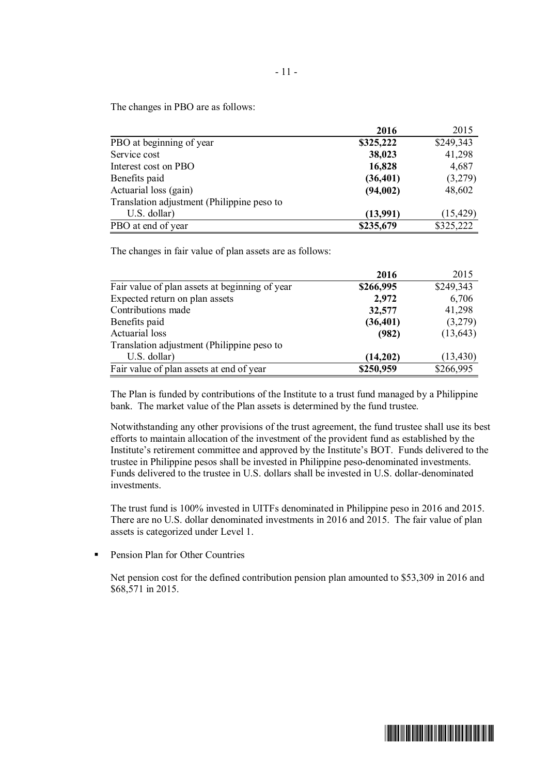The changes in PBO are as follows:

|                                            | 2016      | 2015      |
|--------------------------------------------|-----------|-----------|
| PBO at beginning of year                   | \$325,222 | \$249,343 |
| Service cost                               | 38,023    | 41,298    |
| Interest cost on PBO                       | 16,828    | 4,687     |
| Benefits paid                              | (36, 401) | (3,279)   |
| Actuarial loss (gain)                      | (94,002)  | 48,602    |
| Translation adjustment (Philippine peso to |           |           |
| U.S. dollar)                               | (13,991)  | (15, 429) |
| PBO at end of year                         | \$235,679 | \$325,222 |

The changes in fair value of plan assets are as follows:

|                                                | 2016      | 2015      |
|------------------------------------------------|-----------|-----------|
| Fair value of plan assets at beginning of year | \$266,995 | \$249,343 |
| Expected return on plan assets                 | 2,972     | 6,706     |
| Contributions made                             | 32,577    | 41,298    |
| Benefits paid                                  | (36, 401) | (3,279)   |
| <b>Actuarial</b> loss                          | (982)     | (13, 643) |
| Translation adjustment (Philippine peso to     |           |           |
| U.S. dollar)                                   | (14,202)  | (13, 430) |
| Fair value of plan assets at end of year       | \$250,959 | \$266,995 |

The Plan is funded by contributions of the Institute to a trust fund managed by a Philippine bank. The market value of the Plan assets is determined by the fund trustee.

Notwithstanding any other provisions of the trust agreement, the fund trustee shall use its best efforts to maintain allocation of the investment of the provident fund as established by the Institute's retirement committee and approved by the Institute's BOT. Funds delivered to the trustee in Philippine pesos shall be invested in Philippine peso-denominated investments. Funds delivered to the trustee in U.S. dollars shall be invested in U.S. dollar-denominated investments.

The trust fund is 100% invested in UITFs denominated in Philippine peso in 2016 and 2015. There are no U.S. dollar denominated investments in 2016 and 2015. The fair value of plan assets is categorized under Level 1.

Pension Plan for Other Countries

Net pension cost for the defined contribution pension plan amounted to \$53,309 in 2016 and \$68,571 in 2015.

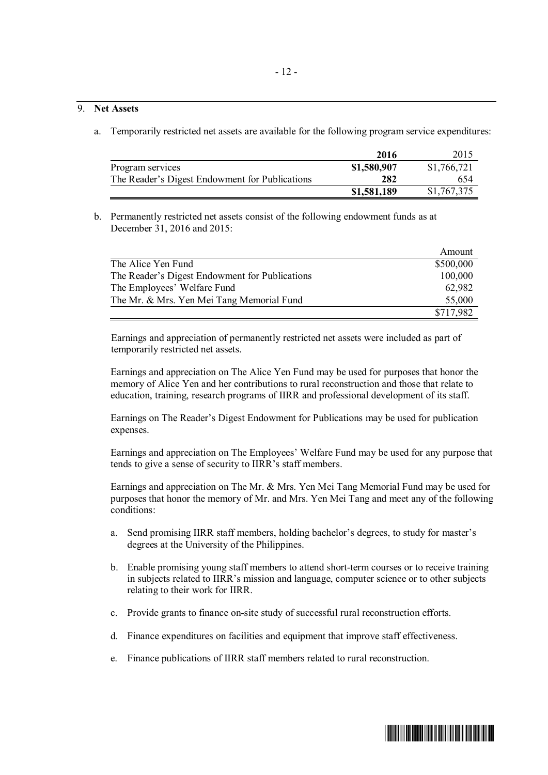## 9. **Net Assets**

a. Temporarily restricted net assets are available for the following program service expenditures:

|                                                | 2016        | 2015        |
|------------------------------------------------|-------------|-------------|
| Program services                               | \$1,580,907 | \$1,766,721 |
| The Reader's Digest Endowment for Publications | 282         | 654         |
|                                                | \$1,581,189 | \$1,767,375 |

b. Permanently restricted net assets consist of the following endowment funds as at December 31, 2016 and 2015:

|                                                | Amount    |
|------------------------------------------------|-----------|
| The Alice Yen Fund                             | \$500,000 |
| The Reader's Digest Endowment for Publications | 100,000   |
| The Employees' Welfare Fund                    | 62,982    |
| The Mr. & Mrs. Yen Mei Tang Memorial Fund      | 55,000    |
|                                                | \$717,982 |

Earnings and appreciation of permanently restricted net assets were included as part of temporarily restricted net assets.

Earnings and appreciation on The Alice Yen Fund may be used for purposes that honor the memory of Alice Yen and her contributions to rural reconstruction and those that relate to education, training, research programs of IIRR and professional development of its staff.

Earnings on The Reader's Digest Endowment for Publications may be used for publication expenses

Earnings and appreciation on The Employees' Welfare Fund may be used for any purpose that tends to give a sense of security to IIRR's staff members.

Earnings and appreciation on The Mr. & Mrs. Yen Mei Tang Memorial Fund may be used for purposes that honor the memory of Mr. and Mrs. Yen Mei Tang and meet any of the following conditions:

- a. Send promising IIRR staff members, holding bachelor's degrees, to study for master's degrees at the University of the Philippines.
- b. Enable promising young staff members to attend short-term courses or to receive training in subjects related to IIRR's mission and language, computer science or to other subjects relating to their work for IIRR.
- c. Provide grants to finance on-site study of successful rural reconstruction efforts.
- d. Finance expenditures on facilities and equipment that improve staff effectiveness.
- e. Finance publications of IIRR staff members related to rural reconstruction.

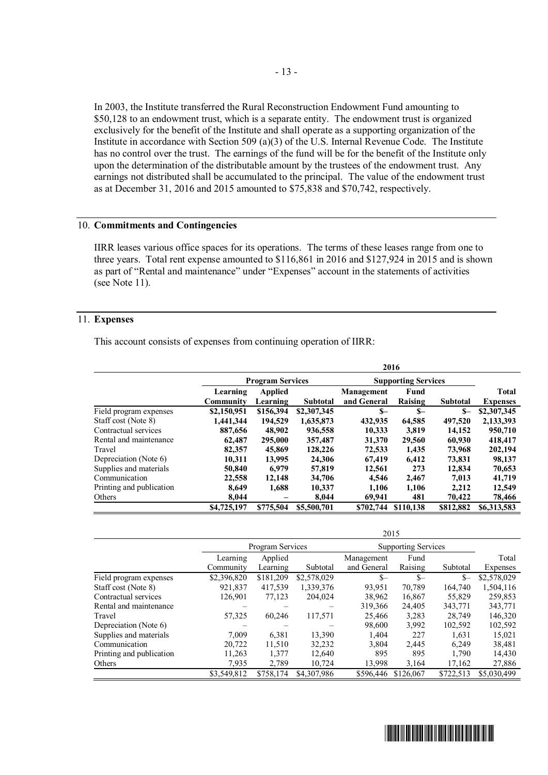In 2003, the Institute transferred the Rural Reconstruction Endowment Fund amounting to \$50,128 to an endowment trust, which is a separate entity. The endowment trust is organized exclusively for the benefit of the Institute and shall operate as a supporting organization of the Institute in accordance with Section 509 (a)(3) of the U.S. Internal Revenue Code. The Institute has no control over the trust. The earnings of the fund will be for the benefit of the Institute only upon the determination of the distributable amount by the trustees of the endowment trust. Any earnings not distributed shall be accumulated to the principal. The value of the endowment trust as at December 31, 2016 and 2015 amounted to \$75,838 and \$70,742, respectively.

#### 10. **Commitments and Contingencies**

IIRR leases various office spaces for its operations. The terms of these leases range from one to three years. Total rent expense amounted to \$116,861 in 2016 and \$127,924 in 2015 and is shown as part of "Rental and maintenance" under "Expenses" account in the statements of activities (see Note 11).

## 11. **Expenses**

This account consists of expenses from continuing operation of IIRR:

|                          | 2016                    |                |                 |                            |           |                 |                 |
|--------------------------|-------------------------|----------------|-----------------|----------------------------|-----------|-----------------|-----------------|
|                          | <b>Program Services</b> |                |                 | <b>Supporting Services</b> |           |                 |                 |
|                          | Learning                | <b>Applied</b> |                 | Management                 | Fund      |                 | Total           |
|                          | Community               | Learning       | <b>Subtotal</b> | and General                | Raising   | <b>Subtotal</b> | <b>Expenses</b> |
| Field program expenses   | \$2,150,951             | \$156,394      | \$2,307,345     | $S-$                       | $S-$      | $S-$            | \$2,307,345     |
| Staff cost (Note 8)      | 1.441.344               | 194,529        | 1,635,873       | 432,935                    | 64,585    | 497,520         | 2,133,393       |
| Contractual services     | 887,656                 | 48,902         | 936,558         | 10,333                     | 3,819     | 14,152          | 950,710         |
| Rental and maintenance   | 62,487                  | 295,000        | 357,487         | 31,370                     | 29,560    | 60,930          | 418,417         |
| Travel                   | 82,357                  | 45,869         | 128,226         | 72,533                     | 1,435     | 73,968          | 202,194         |
| Depreciation (Note 6)    | 10.311                  | 13.995         | 24.306          | 67,419                     | 6.412     | 73,831          | 98,137          |
| Supplies and materials   | 50,840                  | 6,979          | 57,819          | 12,561                     | 273       | 12,834          | 70,653          |
| Communication            | 22,558                  | 12.148         | 34,706          | 4.546                      | 2.467     | 7.013           | 41,719          |
| Printing and publication | 8,649                   | 1,688          | 10,337          | 1.106                      | 1,106     | 2,212           | 12,549          |
| Others                   | 8,044                   |                | 8,044           | 69,941                     | 481       | 70,422          | 78,466          |
|                          | \$4,725,197             | \$775,504      | \$5,500,701     | \$702,744                  | \$110,138 | \$812,882       | \$6,313,583     |

|                          | 2012             |           |             |                            |           |           |             |
|--------------------------|------------------|-----------|-------------|----------------------------|-----------|-----------|-------------|
|                          | Program Services |           |             | <b>Supporting Services</b> |           |           |             |
|                          | Learning         | Applied   |             | Management                 | Fund      |           | Total       |
|                          | Community        | Learning  | Subtotal    | and General                | Raising   | Subtotal  | Expenses    |
| Field program expenses   | \$2,396,820      | \$181,209 | \$2,578,029 | $S-$                       | $S-$      | $S-$      | \$2,578,029 |
| Staff cost (Note 8)      | 921.837          | 417,539   | 1,339,376   | 93,951                     | 70,789    | 164,740   | 1,504,116   |
| Contractual services     | 126,901          | 77,123    | 204,024     | 38,962                     | 16,867    | 55.829    | 259,853     |
| Rental and maintenance   |                  |           |             | 319,366                    | 24,405    | 343,771   | 343,771     |
| Travel                   | 57,325           | 60,246    | 117,571     | 25,466                     | 3,283     | 28.749    | 146,320     |
| Depreciation (Note 6)    |                  |           |             | 98,600                     | 3,992     | 102,592   | 102,592     |
| Supplies and materials   | 7,009            | 6,381     | 13,390      | 1.404                      | 227       | 1,631     | 15,021      |
| Communication            | 20,722           | 11,510    | 32,232      | 3,804                      | 2.445     | 6,249     | 38,481      |
| Printing and publication | 11.263           | 1.377     | 12.640      | 895                        | 895       | 1.790     | 14,430      |
| Others                   | 7.935            | 2,789     | 10,724      | 13,998                     | 3,164     | 17,162    | 27,886      |
|                          | \$3,549,812      | \$758,174 | \$4,307,986 | \$596.446                  | \$126,067 | \$722,513 | \$5,030,499 |



 $2015$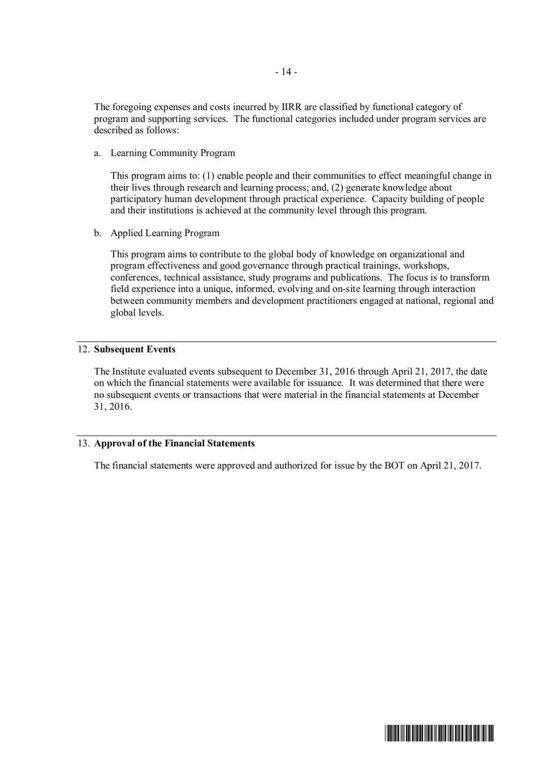The foregoing expenses and costs incurred by IIRR are classified by functional category of program and supporting services. The functional categories included under program services are described as follows:

a. Learning Community Program

This program aims to: (1) enable people and their communities to effect meaningful change in their lives through research and learning process; and, (2) generate knowledge about participatory human development through practical experience. Capacity building of people and their institutions is achieved at the community level through this program.

b. Applied Learning Program

This program aims to contribute to the global body of knowledge on organizational and program effectiveness and good governance through practical trainings, workshops, conferences, technical assistance, study programs and publications. The focus is to transform field experience into a unique, informed, evolving and on-site learning through interaction between community members and development practitioners engaged at national, regional and global levels.

## 12. **Subsequent Events**

The Institute evaluated events subsequent to December 31, 2016 through April 21, 2017, the date on which the financial statements were available for issuance. It was determined that there were no subsequent events or transactions that were material in the financial statements at December 31, 2016.

## 13. **Approval of the Financial Statements**

The financial statements were approved and authorized for issue by the BOT on April 21, 2017.



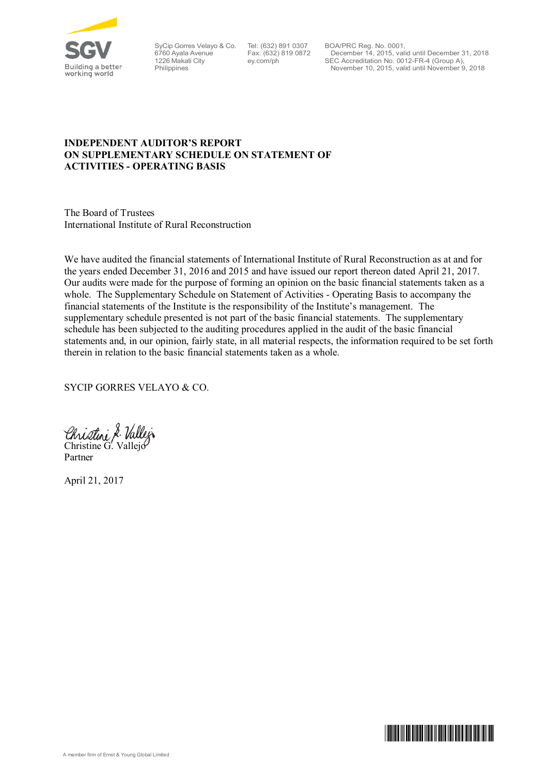

SyCip Gorres Velayo & Co. 6760 Ayala Avenue 1226 Makati City Philippines

Tel: (632) 891 0307 Fax: (632) 819 0872 ey.com/ph

BOA/PRC Reg. No. 0001, December 14, 2015, valid until December 31, 2018 SEC Accreditation No. 0012-FR-4 (Group A), November 10, 2015, valid until November 9, 2018

## **INDEPENDENT AUDITOR'S REPORT ON SUPPLEMENTARY SCHEDULE ON STATEMENT OF ACTIVITIES - OPERATING BASIS**

The Board of Trustees International Institute of Rural Reconstruction

We have audited the financial statements of International Institute of Rural Reconstruction as at and for the years ended December 31, 2016 and 2015 and have issued our report thereon dated April 21, 2017. Our audits were made for the purpose of forming an opinion on the basic financial statements taken as a whole. The Supplementary Schedule on Statement of Activities - Operating Basis to accompany the financial statements of the Institute is the responsibility of the Institute's management. The supplementary schedule presented is not part of the basic financial statements. The supplementary schedule has been subjected to the auditing procedures applied in the audit of the basic financial statements and, in our opinion, fairly state, in all material respects, the information required to be set forth therein in relation to the basic financial statements taken as a whole.

SYCIP GORRES VELAYO & CO.

Christine & Vallej Partner

April 21, 2017